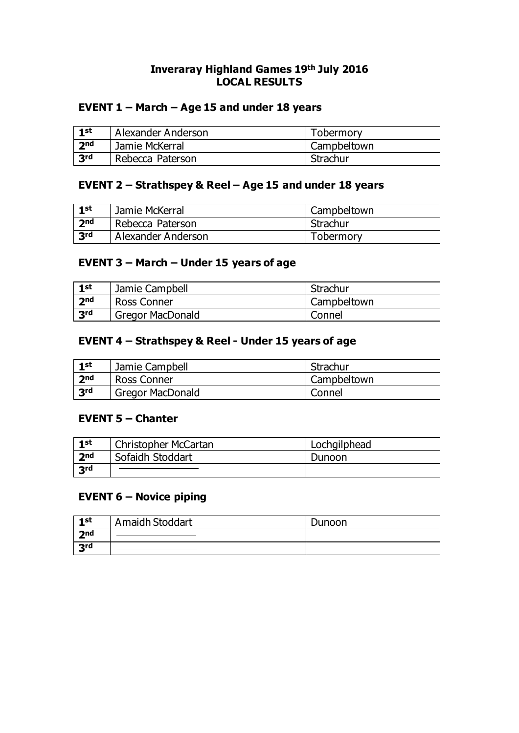### **Inveraray Highland Games 19th July 2016 LOCAL RESULTS**

### **EVENT 1 – March – Age 15 and under 18 years**

| 1st             | Alexander Anderson | Tobermory   |
|-----------------|--------------------|-------------|
| 2 <sub>nd</sub> | Jamie McKerral     | Campbeltown |
| 3rd             | Rebecca Paterson   | Strachur    |

### **EVENT 2 – Strathspey & Reel – Age 15 and under 18 years**

| 1st               | Jamie McKerral     | Campbeltown |
|-------------------|--------------------|-------------|
| 2 <sub>nd</sub>   | Rebecca Paterson   | Strachur    |
| $\overline{3}$ rd | Alexander Anderson | Tobermory   |

### **EVENT 3 – March – Under 15 years of age**

| 1st             | Jamie Campbell          | Strachur    |
|-----------------|-------------------------|-------------|
| 2 <sub>nd</sub> | Ross Conner             | Campbeltown |
| 3rd             | <b>Gregor MacDonald</b> | Connel      |

### **EVENT 4 – Strathspey & Reel - Under 15 years of age**

| 1st             | Jamie Campbell          | Strachur    |
|-----------------|-------------------------|-------------|
| 2 <sub>nd</sub> | Ross Conner             | Campbeltown |
| 3rd             | <b>Gregor MacDonald</b> | Connel      |

#### **EVENT 5 – Chanter**

| 1st             | Christopher McCartan | Lochgilphead |
|-----------------|----------------------|--------------|
| 2 <sub>nd</sub> | Sofaidh Stoddart     | Dunoon       |
| 3rd             |                      |              |

### **EVENT 6 – Novice piping**

| 1st | Amaidh Stoddart | Dunoon |
|-----|-----------------|--------|
| 7nd |                 |        |
| 3rd |                 |        |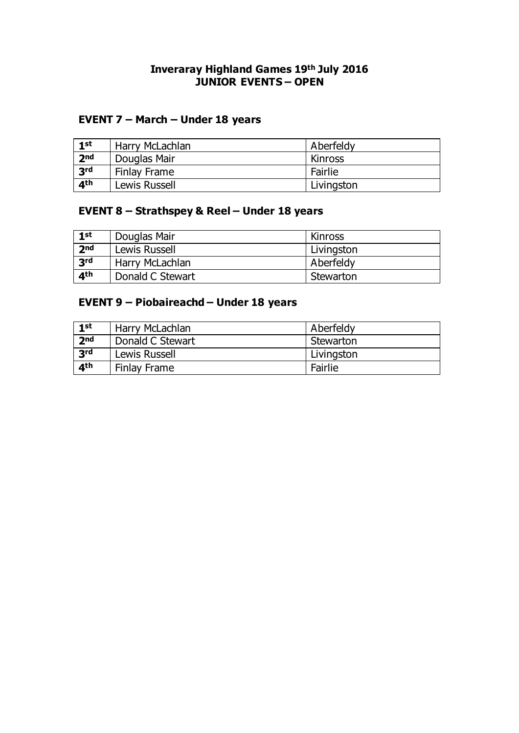### **Inveraray Highland Games 19th July 2016 JUNIOR EVENTS – OPEN**

### **EVENT 7 – March – Under 18 years**

| 1st             | Harry McLachlan | Aberfeldy  |
|-----------------|-----------------|------------|
| 2 <sub>nd</sub> | Douglas Mair    | Kinross    |
| 3rd             | Finlay Frame    | Fairlie    |
| 4 <sup>th</sup> | Lewis Russell   | Livingston |

### **EVENT 8 – Strathspey & Reel – Under 18 years**

| 1st               | Douglas Mair     | Kinross    |
|-------------------|------------------|------------|
| 2 <sub>nd</sub>   | Lewis Russell    | Livingston |
| $\overline{3}$ rd | Harry McLachlan  | Aberfeldy  |
| 4 <sup>th</sup>   | Donald C Stewart | Stewarton  |

### **EVENT 9 – Piobaireachd – Under 18 years**

| 1st             | Harry McLachlan  | Aberfeldy  |
|-----------------|------------------|------------|
| 2 <sub>nd</sub> | Donald C Stewart | Stewarton  |
| $R^2$           | Lewis Russell    | Livingston |
| 4 <sup>th</sup> | Finlay Frame     | Fairlie    |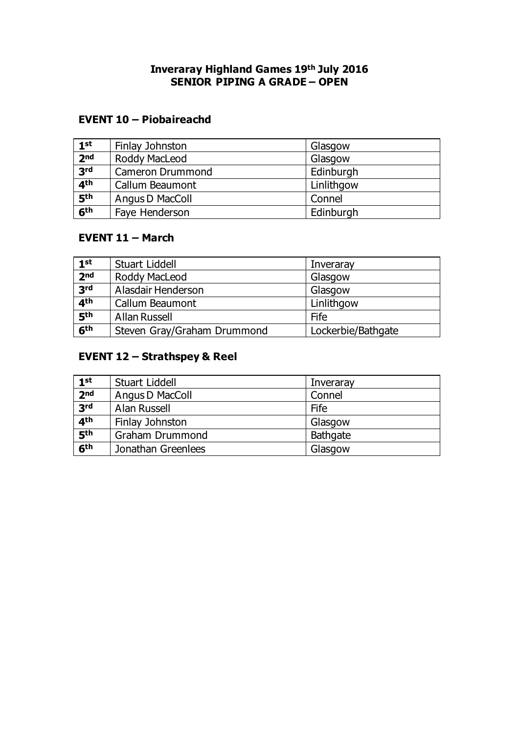### **Inveraray Highland Games 19th July 2016 SENIOR PIPING A GRADE – OPEN**

### **EVENT 10 – Piobaireachd**

| 1 <sup>st</sup> | Finlay Johnston         | Glasgow    |
|-----------------|-------------------------|------------|
| 2 <sub>nd</sub> | Roddy MacLeod           | Glasgow    |
| 3rd             | <b>Cameron Drummond</b> | Edinburgh  |
| 4 <sup>th</sup> | Callum Beaumont         | Linlithgow |
| 5 <sup>th</sup> | Angus D MacColl         | Connel     |
| 6 <sup>th</sup> | Faye Henderson          | Edinburgh  |

# **EVENT 11 – March**

| 1 <sup>st</sup> | Stuart Liddell              | Inveraray          |
|-----------------|-----------------------------|--------------------|
| 2 <sub>nd</sub> | Roddy MacLeod               | Glasgow            |
| 3rd             | Alasdair Henderson          | Glasgow            |
| 4 <sup>th</sup> | Callum Beaumont             | Linlithgow         |
| 5 <sup>th</sup> | <b>Allan Russell</b>        | Fife               |
| 6 <sup>th</sup> | Steven Gray/Graham Drummond | Lockerbie/Bathgate |

## **EVENT 12 – Strathspey & Reel**

| 1 <sup>st</sup>            | Stuart Liddell         | Inveraray       |
|----------------------------|------------------------|-----------------|
| 2 <sub>nd</sub>            | Angus D MacColl        | Connel          |
| 3rd                        | <b>Alan Russell</b>    | Fife            |
| 4 <sup>th</sup>            | Finlay Johnston        | Glasgow         |
| $\overline{\mathbf{5}}$ th | <b>Graham Drummond</b> | <b>Bathgate</b> |
| 6th                        | Jonathan Greenlees     | Glasgow         |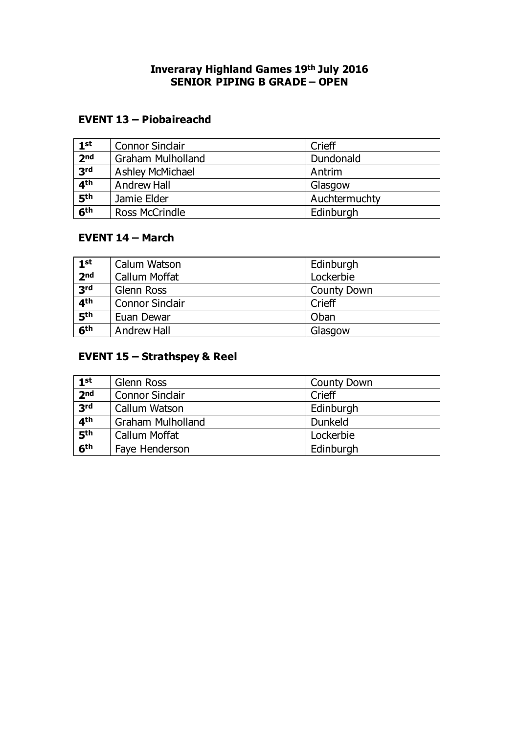### **Inveraray Highland Games 19th July 2016 SENIOR PIPING B GRADE – OPEN**

### **EVENT 13 – Piobaireachd**

| 1 <sup>st</sup> | <b>Connor Sinclair</b>   | Crieff        |  |
|-----------------|--------------------------|---------------|--|
| 2 <sub>nd</sub> | <b>Graham Mulholland</b> | Dundonald     |  |
| 3rd             | Ashley McMichael         | Antrim        |  |
| 4 <sup>th</sup> | Andrew Hall              | Glasgow       |  |
| 5th             | Jamie Elder              | Auchtermuchty |  |
| 6 <sup>th</sup> | <b>Ross McCrindle</b>    | Edinburgh     |  |

## **EVENT 14 – March**

| 1 <sup>st</sup> | Calum Watson           | Edinburgh          |
|-----------------|------------------------|--------------------|
| 2 <sub>nd</sub> | <b>Callum Moffat</b>   | Lockerbie          |
| 3rd             | <b>Glenn Ross</b>      | <b>County Down</b> |
| 4 <sup>th</sup> | <b>Connor Sinclair</b> | Crieff             |
| 5 <sup>th</sup> | Euan Dewar             | Oban               |
| 6 <sup>th</sup> | <b>Andrew Hall</b>     | Glasgow            |

## **EVENT 15 – Strathspey & Reel**

| 1 <sup>st</sup> | Glenn Ross               | <b>County Down</b> |
|-----------------|--------------------------|--------------------|
| 2 <sub>nd</sub> | <b>Connor Sinclair</b>   | Crieff             |
| 3rd             | Callum Watson            | Edinburgh          |
| 4 <sup>th</sup> | <b>Graham Mulholland</b> | Dunkeld            |
| 5 <sup>th</sup> | Callum Moffat            | Lockerbie          |
| 6 <sup>th</sup> | Faye Henderson           | Edinburgh          |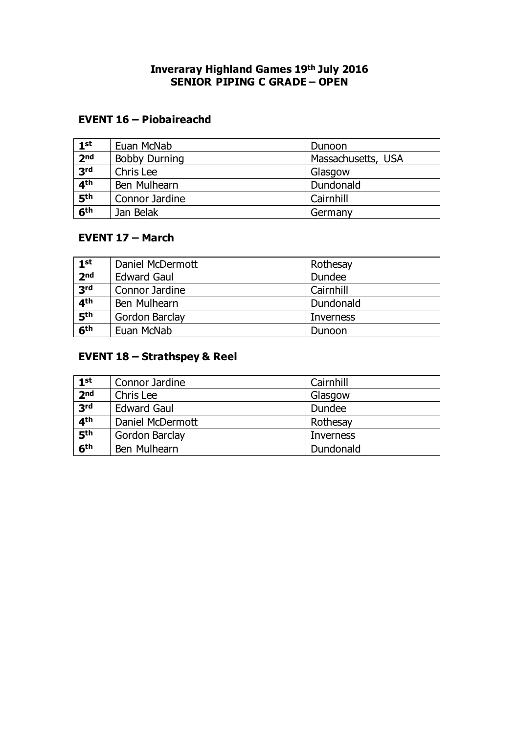### **Inveraray Highland Games 19th July 2016 SENIOR PIPING C GRADE – OPEN**

### **EVENT 16 – Piobaireachd**

| 1 <sup>st</sup> | Euan McNab           | Dunoon             |  |
|-----------------|----------------------|--------------------|--|
| 2 <sub>nd</sub> | <b>Bobby Durning</b> | Massachusetts, USA |  |
| 3rd             | Chris Lee            | Glasgow            |  |
| 4 <sup>th</sup> | Ben Mulhearn         | Dundonald          |  |
| 5th             | Connor Jardine       | Cairnhill          |  |
| 6 <sup>th</sup> | Jan Belak            | Germany            |  |

## **EVENT 17 – March**

| 1 <sup>st</sup> | Daniel McDermott   | Rothesay  |
|-----------------|--------------------|-----------|
| 2 <sub>nd</sub> | <b>Edward Gaul</b> | Dundee    |
| 3rd             | Connor Jardine     | Cairnhill |
| 4 <sup>th</sup> | Ben Mulhearn       | Dundonald |
| 5th             | Gordon Barclay     | Inverness |
| 6 <sup>th</sup> | Euan McNab         | Dunoon    |

## **EVENT 18 – Strathspey & Reel**

| 1 <sup>st</sup>            | Connor Jardine     | Cairnhill        |
|----------------------------|--------------------|------------------|
| 2 <sub>nd</sub>            | Chris Lee          | Glasgow          |
| 3rd                        | <b>Edward Gaul</b> | Dundee           |
| 4 <sup>th</sup>            | Daniel McDermott   | Rothesay         |
| $\overline{\mathbf{5}}$ th | Gordon Barclay     | <b>Inverness</b> |
| 6th                        | Ben Mulhearn       | Dundonald        |